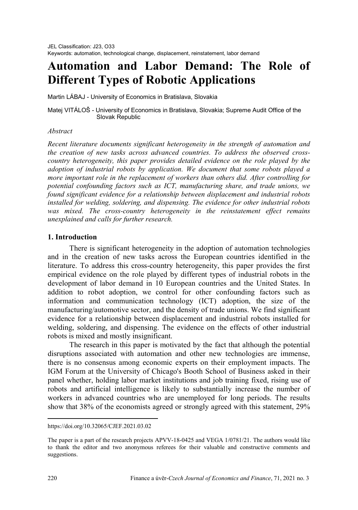# **Automation and Labor Demand: The Role of Different Types of Robotic Applications**

Martin LÁBAJ - University of Economics in Bratislava, Slovakia

Matej VITÁLOŠ - University of Economics in Bratislava, Slovakia; Supreme Audit Office of the Slovak Republic

# *Abstract[1](#page-0-0)*

*Recent literature documents significant heterogeneity in the strength of automation and the creation of new tasks across advanced countries. To address the observed crosscountry heterogeneity, this paper provides detailed evidence on the role played by the adoption of industrial robots by application. We document that some robots played a more important role in the replacement of workers than others did. After controlling for potential confounding factors such as ICT, manufacturing share, and trade unions, we found significant evidence for a relationship between displacement and industrial robots installed for welding, soldering, and dispensing. The evidence for other industrial robots was mixed. The cross-country heterogeneity in the reinstatement effect remains unexplained and calls for further research.*

# **1. Introduction**

There is significant heterogeneity in the adoption of automation technologies and in the creation of new tasks across the European countries identified in the literature. To address this cross-country heterogeneity, this paper provides the first empirical evidence on the role played by different types of industrial robots in the development of labor demand in 10 European countries and the United States. In addition to robot adoption, we control for other confounding factors such as information and communication technology (ICT) adoption, the size of the manufacturing/automotive sector, and the density of trade unions. We find significant evidence for a relationship between displacement and industrial robots installed for welding, soldering, and dispensing. The evidence on the effects of other industrial robots is mixed and mostly insignificant.

The research in this paper is motivated by the fact that although the potential disruptions associated with automation and other new technologies are immense, there is no consensus among economic experts on their employment impacts. The IGM Forum at the University of Chicago's Booth School of Business asked in their panel whether, holding labor market institutions and job training fixed, rising use of robots and artificial intelligence is likely to substantially increase the number of workers in advanced countries who are unemployed for long periods. The results show that 38% of the economists agreed or strongly agreed with this statement, 29%

 $\overline{a}$ 

<span id="page-0-0"></span>https://doi.org/10.32065/CJEF.2021.03.02

The paper is a part of the research projects APVV-18-0425 and VEGA 1/0781/21. The authors would like to thank the editor and two anonymous referees for their valuable and constructive comments and suggestions.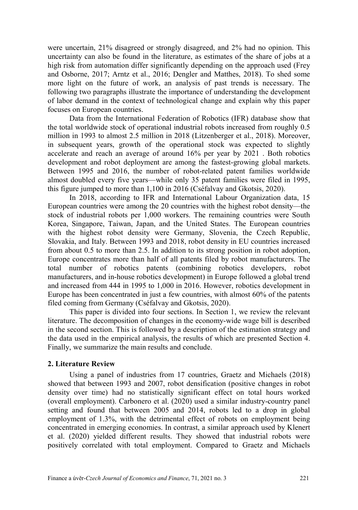were uncertain, 21% disagreed or strongly disagreed, and 2% had no opinion. This uncertainty can also be found in the literature, as estimates of the share of jobs at a high risk from automation differ significantly depending on the approach used (Frey and Osborne, 2017; Arntz et al., 2016; Dengler and Matthes, 2018). To shed some more light on the future of work, an analysis of past trends is necessary. The following two paragraphs illustrate the importance of understanding the development of labor demand in the context of technological change and explain why this paper focuses on European countries.

Data from the International Federation of Robotics (IFR) database show that the total worldwide stock of operational industrial robots increased from roughly 0.5 million in 1993 to almost 2.5 million in 2018 (Litzenberger et al., 2018). Moreover, in subsequent years, growth of the operational stock was expected to slightly accelerate and reach an average of around 16% per year by 2021 . Both robotics development and robot deployment are among the fastest-growing global markets. Between 1995 and 2016, the number of robot-related patent families worldwide almost doubled every five years—while only 35 patent families were filed in 1995, this figure jumped to more than 1,100 in 2016 (Cséfalvay and Gkotsis, 2020).

In 2018, according to IFR and International Labour Organization data, 15 European countries were among the 20 countries with the highest robot density—the stock of industrial robots per 1,000 workers. The remaining countries were South Korea, Singapore, Taiwan, Japan, and the United States. The European countries with the highest robot density were Germany, Slovenia, the Czech Republic, Slovakia, and Italy. Between 1993 and 2018, robot density in EU countries increased from about 0.5 to more than 2.5. In addition to its strong position in robot adoption, Europe concentrates more than half of all patents filed by robot manufacturers. The total number of robotics patents (combining robotics developers, robot manufacturers, and in-house robotics development) in Europe followed a global trend and increased from 444 in 1995 to 1,000 in 2016. However, robotics development in Europe has been concentrated in just a few countries, with almost 60% of the patents filed coming from Germany (Cséfalvay and Gkotsis, 2020).

This paper is divided into four sections. In Section 1, we review the relevant literature. The decomposition of changes in the economy-wide wage bill is described in the second section. This is followed by a description of the estimation strategy and the data used in the empirical analysis, the results of which are presented Section 4. Finally, we summarize the main results and conclude.

#### **2. Literature Review**

Using a panel of industries from 17 countries, Graetz and Michaels (2018) showed that between 1993 and 2007, robot densification (positive changes in robot density over time) had no statistically significant effect on total hours worked (overall employment). Carbonero et al. (2020) used a similar industry-country panel setting and found that between 2005 and 2014, robots led to a drop in global employment of 1.3%, with the detrimental effect of robots on employment being concentrated in emerging economies. In contrast, a similar approach used by Klenert et al. (2020) yielded different results. They showed that industrial robots were positively correlated with total employment. Compared to Graetz and Michaels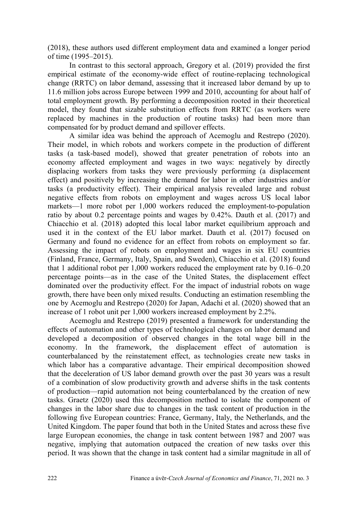(2018), these authors used different employment data and examined a longer period of time (1995–2015).

In contrast to this sectoral approach, Gregory et al. (2019) provided the first empirical estimate of the economy-wide effect of routine-replacing technological change (RRTC) on labor demand, assessing that it increased labor demand by up to 11.6 million jobs across Europe between 1999 and 2010, accounting for about half of total employment growth. By performing a decomposition rooted in their theoretical model, they found that sizable substitution effects from RRTC (as workers were replaced by machines in the production of routine tasks) had been more than compensated for by product demand and spillover effects.

A similar idea was behind the approach of Acemoglu and Restrepo (2020). Their model, in which robots and workers compete in the production of different tasks (a task-based model), showed that greater penetration of robots into an economy affected employment and wages in two ways: negatively by directly displacing workers from tasks they were previously performing (a displacement effect) and positively by increasing the demand for labor in other industries and/or tasks (a productivity effect). Their empirical analysis revealed large and robust negative effects from robots on employment and wages across US local labor markets—1 more robot per 1,000 workers reduced the employment-to-population ratio by about 0.2 percentage points and wages by 0.42%. Dauth et al. (2017) and Chiacchio et al. (2018) adopted this local labor market equilibrium approach and used it in the context of the EU labor market. Dauth et al. (2017) focused on Germany and found no evidence for an effect from robots on employment so far. Assessing the impact of robots on employment and wages in six EU countries (Finland, France, Germany, Italy, Spain, and Sweden), Chiacchio et al. (2018) found that 1 additional robot per 1,000 workers reduced the employment rate by 0.16–0.20 percentage points—as in the case of the United States, the displacement effect dominated over the productivity effect. For the impact of industrial robots on wage growth, there have been only mixed results. Conducting an estimation resembling the one by Acemoglu and Restrepo (2020) for Japan, Adachi et al. (2020) showed that an increase of 1 robot unit per 1,000 workers increased employment by 2.2%.

Acemoglu and Restrepo (2019) presented a framework for understanding the effects of automation and other types of technological changes on labor demand and developed a decomposition of observed changes in the total wage bill in the economy. In the framework, the displacement effect of automation is counterbalanced by the reinstatement effect, as technologies create new tasks in which labor has a comparative advantage. Their empirical decomposition showed that the deceleration of US labor demand growth over the past 30 years was a result of a combination of slow productivity growth and adverse shifts in the task contents of production—rapid automation not being counterbalanced by the creation of new tasks. Graetz (2020) used this decomposition method to isolate the component of changes in the labor share due to changes in the task content of production in the following five European countries: France, Germany, Italy, the Netherlands, and the United Kingdom. The paper found that both in the United States and across these five large European economies, the change in task content between 1987 and 2007 was negative, implying that automation outpaced the creation of new tasks over this period. It was shown that the change in task content had a similar magnitude in all of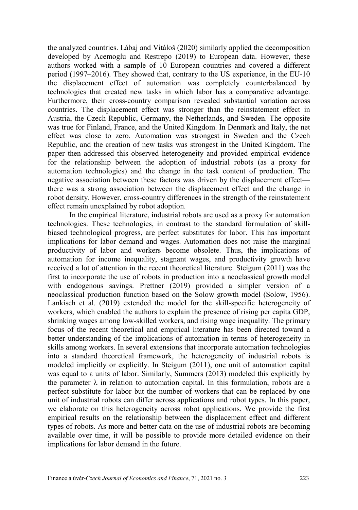the analyzed countries. Lábaj and Vitáloš (2020) similarly applied the decomposition developed by Acemoglu and Restrepo (2019) to European data. However, these authors worked with a sample of 10 European countries and covered a different period (1997–2016). They showed that, contrary to the US experience, in the EU-10 the displacement effect of automation was completely counterbalanced by technologies that created new tasks in which labor has a comparative advantage. Furthermore, their cross-country comparison revealed substantial variation across countries. The displacement effect was stronger than the reinstatement effect in Austria, the Czech Republic, Germany, the Netherlands, and Sweden. The opposite was true for Finland, France, and the United Kingdom. In Denmark and Italy, the net effect was close to zero. Automation was strongest in Sweden and the Czech Republic, and the creation of new tasks was strongest in the United Kingdom. The paper then addressed this observed heterogeneity and provided empirical evidence for the relationship between the adoption of industrial robots (as a proxy for automation technologies) and the change in the task content of production. The negative association between these factors was driven by the displacement effect there was a strong association between the displacement effect and the change in robot density. However, cross-country differences in the strength of the reinstatement effect remain unexplained by robot adoption.

In the empirical literature, industrial robots are used as a proxy for automation technologies. These technologies, in contrast to the standard formulation of skillbiased technological progress, are perfect substitutes for labor. This has important implications for labor demand and wages. Automation does not raise the marginal productivity of labor and workers become obsolete. Thus, the implications of automation for income inequality, stagnant wages, and productivity growth have received a lot of attention in the recent theoretical literature. Steigum (2011) was the first to incorporate the use of robots in production into a neoclassical growth model with endogenous savings. Prettner (2019) provided a simpler version of a neoclassical production function based on the Solow growth model (Solow, 1956). Lankisch et al. (2019) extended the model for the skill-specific heterogeneity of workers, which enabled the authors to explain the presence of rising per capita GDP, shrinking wages among low-skilled workers, and rising wage inequality. The primary focus of the recent theoretical and empirical literature has been directed toward a better understanding of the implications of automation in terms of heterogeneity in skills among workers. In several extensions that incorporate automation technologies into a standard theoretical framework, the heterogeneity of industrial robots is modeled implicitly or explicitly. In Steigum (2011), one unit of automation capital was equal to ε units of labor. Similarly, Summers (2013) modeled this explicitly by the parameter  $\lambda$  in relation to automation capital. In this formulation, robots are a perfect substitute for labor but the number of workers that can be replaced by one unit of industrial robots can differ across applications and robot types. In this paper, we elaborate on this heterogeneity across robot applications. We provide the first empirical results on the relationship between the displacement effect and different types of robots. As more and better data on the use of industrial robots are becoming available over time, it will be possible to provide more detailed evidence on their implications for labor demand in the future.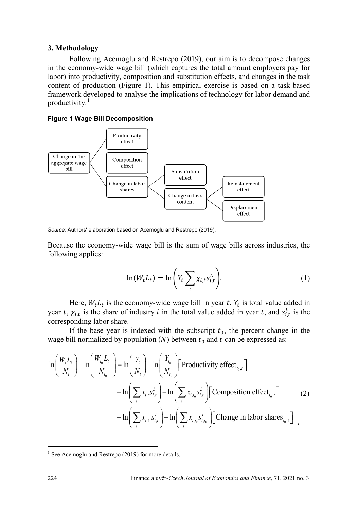# **3. Methodology**

Following Acemoglu and Restrepo (2019), our aim is to decompose changes in the economy-wide wage bill (which captures the total amount employers pay for labor) into productivity, composition and substitution effects, and changes in the task content of production (Figure 1). This empirical exercise is based on a task-based framework developed to analyse the implications of technology for labor demand and productivity. $<sup>1</sup>$  $<sup>1</sup>$  $<sup>1</sup>$ </sup>

#### **Figure 1 Wage Bill Decomposition**



*Source:* Authors' elaboration based on Acemoglu and Restrepo (2019).

Because the economy-wide wage bill is the sum of wage bills across industries, the following applies:

$$
\ln(W_t L_t) = \ln\left(Y_t \sum_i \chi_{i,t} s_{i,t}^L\right).
$$
 (1)

Here,  $W_t L_t$  is the economy-wide wage bill in year t,  $Y_t$  is total value added in year t,  $\chi_{i,t}$  is the share of industry i in the total value added in year t, and  $s_{i,t}^L$  is the corresponding labor share.

If the base year is indexed with the subscript  $t_0$ , the percent change in the wage bill normalized by population (N) between  $t_0$  and  $t$  can be expressed as:

$$
\ln\left(\frac{W_{t}L_{t}}{N_{t}}\right) - \ln\left(\frac{W_{t_{0}}L_{t_{0}}}{N_{t_{0}}}\right) = \ln\left(\frac{Y_{t}}{N_{t}}\right) - \ln\left(\frac{Y_{t_{0}}}{N_{t_{0}}}\right)\left[\text{Productivity effect}_{t_{0},t}\right]
$$
  
+ 
$$
\ln\left(\sum_{i} x_{i,t} s_{i,t}^{L}\right) - \ln\left(\sum_{i} x_{i,t_{0}} s_{i,t}^{L}\right)\left[\text{Composition effect}_{t_{0},t}\right]
$$
  
+ 
$$
\ln\left(\sum_{i} x_{i,t_{0}} s_{i,t}^{L}\right) - \ln\left(\sum_{i} x_{i,t_{0}} s_{i,t_{0}}^{L}\right)\left[\text{Change in labor shares}_{t_{0},t}\right]
$$

 $\overline{a}$ 

<span id="page-4-0"></span> $1$  See Acemoglu and Restrepo (2019) for more details.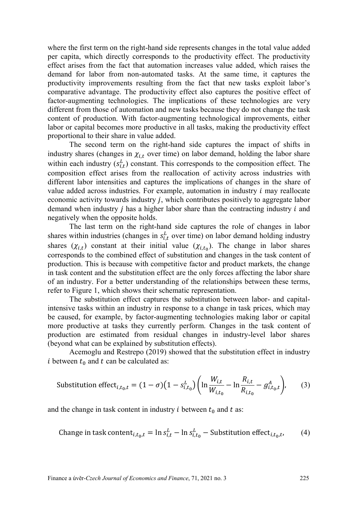where the first term on the right-hand side represents changes in the total value added per capita, which directly corresponds to the productivity effect. The productivity effect arises from the fact that automation increases value added, which raises the demand for labor from non-automated tasks. At the same time, it captures the productivity improvements resulting from the fact that new tasks exploit labor's comparative advantage. The productivity effect also captures the positive effect of factor-augmenting technologies. The implications of these technologies are very different from those of automation and new tasks because they do not change the task content of production. With factor-augmenting technological improvements, either labor or capital becomes more productive in all tasks, making the productivity effect proportional to their share in value added.

The second term on the right-hand side captures the impact of shifts in industry shares (changes in  $\chi_{i,t}$  over time) on labor demand, holding the labor share within each industry  $(s_{i,t}^L)$  constant. This corresponds to the composition effect. The composition effect arises from the reallocation of activity across industries with different labor intensities and captures the implications of changes in the share of value added across industries. For example, automation in industry  $i$  may reallocate economic activity towards industry  $j$ , which contributes positively to aggregate labor demand when industry  $j$  has a higher labor share than the contracting industry  $i$  and negatively when the opposite holds.

The last term on the right-hand side captures the role of changes in labor shares within industries (changes in  $s_{i,t}^L$  over time) on labor demand holding industry shares  $(\chi_{i,t})$  constant at their initial value  $(\chi_{i,t_0})$ . The change in labor shares corresponds to the combined effect of substitution and changes in the task content of production. This is because with competitive factor and product markets, the change in task content and the substitution effect are the only forces affecting the labor share of an industry. For a better understanding of the relationships between these terms, refer to Figure 1, which shows their schematic representation.

The substitution effect captures the substitution between labor- and capitalintensive tasks within an industry in response to a change in task prices, which may be caused, for example, by factor-augmenting technologies making labor or capital more productive at tasks they currently perform. Changes in the task content of production are estimated from residual changes in industry-level labor shares (beyond what can be explained by substitution effects).

Acemoglu and Restrepo (2019) showed that the substitution effect in industry i between  $t_0$  and  $t$  can be calculated as:

Substitution effect<sub>i,t\_0,t</sub> = 
$$
(1 - \sigma)(1 - s_{i,t_0}^L) \left( \ln \frac{W_{i,t}}{W_{i,t_0}} - \ln \frac{R_{i,t}}{R_{i,t_0}} - g_{i,t_0,t}^A \right)
$$
, (3)

and the change in task content in industry  $i$  between  $t_0$  and  $t$  as:

Change in task content<sub>*i*,*t*<sub>0</sub>,*t*</sub> = 
$$
\ln s_{i,t}^L - \ln s_{i,t_0}^L -
$$
 Substitution effect<sub>*i*,*t*<sub>0</sub>,*t*</sub>, (4)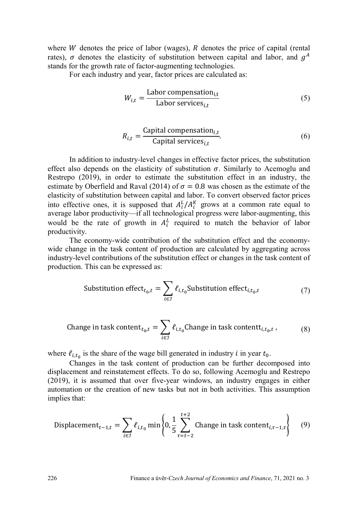where  $W$  denotes the price of labor (wages),  $R$  denotes the price of capital (rental rates),  $\sigma$  denotes the elasticity of substitution between capital and labor, and  $g<sup>A</sup>$ stands for the growth rate of factor-augmenting technologies.

For each industry and year, factor prices are calculated as:

$$
W_{i,t} = \frac{\text{Labor compensation}_{i,t}}{\text{Labor services}_{i,t}} \tag{5}
$$

$$
R_{i,t} = \frac{\text{Capital compensation}_{i,t}}{\text{Capital services}_{i,t}}.\tag{6}
$$

In addition to industry-level changes in effective factor prices, the substitution effect also depends on the elasticity of substitution  $\sigma$ . Similarly to Acemoglu and Restrepo (2019), in order to estimate the substitution effect in an industry, the estimate by Oberfield and Raval (2014) of  $\sigma = 0.8$  was chosen as the estimate of the elasticity of substitution between capital and labor. To convert observed factor prices into effective ones, it is supposed that  $A_i^L / A_i^K$  grows at a common rate equal to average labor productivity—if all technological progress were labor-augmenting, this would be the rate of growth in  $A_i^L$  required to match the behavior of labor productivity.

The economy-wide contribution of the substitution effect and the economywide change in the task content of production are calculated by aggregating across industry-level contributions of the substitution effect or changes in the task content of production. This can be expressed as:

Substitution effect<sub>t\_0,t</sub> = 
$$
\sum_{i \in \mathcal{I}} \ell_{i,t_0} \text{Substitution effect}_{i,t_0,t}
$$
 (7)

Change in task content
$$
t_{t_0,t} = \sum_{i \in J} \ell_{i,t_0}
$$
Change in task content $t_{i,t_0,t}$ , (8)

where  $\ell_{i,t_0}$  is the share of the wage bill generated in industry *i* in year  $t_0$ .

Changes in the task content of production can be further decomposed into displacement and reinstatement effects. To do so, following Acemoglu and Restrepo (2019), it is assumed that over five-year windows, an industry engages in either automation or the creation of new tasks but not in both activities. This assumption implies that:

Displacement<sub>t-1,t</sub> = 
$$
\sum_{i \in \mathcal{I}} \ell_{i,t_0} \min \left\{ 0, \frac{1}{5} \sum_{\tau=t-2}^{t+2} \text{Change in task content}_{i,\tau-1,\tau} \right\}
$$
 (9)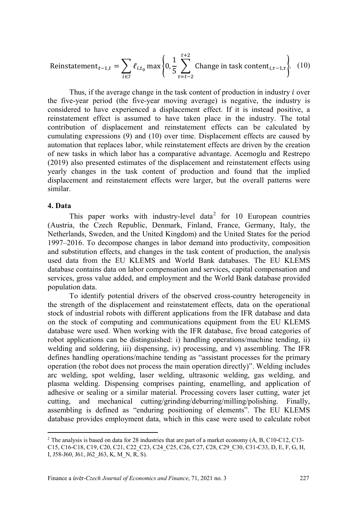Reinstatement<sub>t-1,t</sub> = 
$$
\sum_{i \in J} \ell_{i,t_0} \max \left\{ 0, \frac{1}{5} \sum_{\tau=t-2}^{t+2} \text{Change in task content}_{i,\tau-1,\tau} \right\}
$$
. (10)

Thus, if the average change in the task content of production in industry  $i$  over the five-year period (the five-year moving average) is negative, the industry is considered to have experienced a displacement effect. If it is instead positive, a reinstatement effect is assumed to have taken place in the industry. The total contribution of displacement and reinstatement effects can be calculated by cumulating expressions (9) and (10) over time. Displacement effects are caused by automation that replaces labor, while reinstatement effects are driven by the creation of new tasks in which labor has a comparative advantage. Acemoglu and Restrepo (2019) also presented estimates of the displacement and reinstatement effects using yearly changes in the task content of production and found that the implied displacement and reinstatement effects were larger, but the overall patterns were similar.

# **4. Data**

 $\overline{a}$ 

This paper works with industry-level data<sup>[2](#page-7-0)</sup> for 10 European countries (Austria, the Czech Republic, Denmark, Finland, France, Germany, Italy, the Netherlands, Sweden, and the United Kingdom) and the United States for the period 1997–2016. To decompose changes in labor demand into productivity, composition and substitution effects, and changes in the task content of production, the analysis used data from the EU KLEMS and World Bank databases. The EU KLEMS database contains data on labor compensation and services, capital compensation and services, gross value added, and employment and the World Bank database provided population data.

To identify potential drivers of the observed cross-country heterogeneity in the strength of the displacement and reinstatement effects, data on the operational stock of industrial robots with different applications from the IFR database and data on the stock of computing and communications equipment from the EU KLEMS database were used. When working with the IFR database, five broad categories of robot applications can be distinguished: i) handling operations/machine tending, ii) welding and soldering, iii) dispensing, iv) processing, and v) assembling. The IFR defines handling operations/machine tending as "assistant processes for the primary operation (the robot does not process the main operation directly)". Welding includes arc welding, spot welding, laser welding, ultrasonic welding, gas welding, and plasma welding. Dispensing comprises painting, enamelling, and application of adhesive or sealing or a similar material. Processing covers laser cutting, water jet cutting, and mechanical cutting/grinding/deburring/milling/polishing. Finally, assembling is defined as "enduring positioning of elements". The EU KLEMS database provides employment data, which in this case were used to calculate robot

<span id="page-7-0"></span><sup>&</sup>lt;sup>2</sup> The analysis is based on data for 28 industries that are part of a market economy (A, B, C10-C12, C13-C15, C16-C18, C19, C20, C21, C22 C23, C24 C25, C26, C27, C28, C29 C30, C31-C33, D, E, F, G, H, I, J58-J60, J61, J62 J63, K, M\_N, R, S).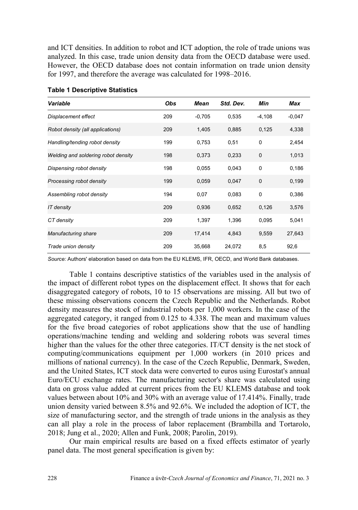and ICT densities. In addition to robot and ICT adoption, the role of trade unions was analyzed. In this case, trade union density data from the OECD database were used. However, the OECD database does not contain information on trade union density for 1997, and therefore the average was calculated for 1998–2016.

| Variable                            | Obs | <b>Mean</b> | Std. Dev. | Min          | <b>Max</b> |
|-------------------------------------|-----|-------------|-----------|--------------|------------|
| Displacement effect                 | 209 | $-0,705$    | 0,535     | $-4,108$     | $-0,047$   |
| Robot density (all applications)    | 209 | 1,405       | 0,885     | 0,125        | 4,338      |
| Handling/tending robot density      | 199 | 0,753       | 0,51      | $\mathbf 0$  | 2,454      |
| Welding and soldering robot density | 198 | 0,373       | 0,233     | $\mathbf{0}$ | 1,013      |
| Dispensing robot density            | 198 | 0,055       | 0,043     | 0            | 0,186      |
| Processing robot density            | 199 | 0,059       | 0,047     | $\mathbf 0$  | 0,199      |
| Assembling robot density            | 194 | 0,07        | 0,083     | $\mathbf 0$  | 0,386      |
| IT density                          | 209 | 0,936       | 0,652     | 0,126        | 3,576      |
| CT density                          | 209 | 1,397       | 1,396     | 0,095        | 5,041      |
| Manufacturing share                 | 209 | 17,414      | 4,843     | 9,559        | 27,643     |
| Trade union density                 | 209 | 35,668      | 24,072    | 8,5          | 92,6       |

*Source:* Authors' elaboration based on data from the EU KLEMS, IFR, OECD, and World Bank databases.

Table 1 contains descriptive statistics of the variables used in the analysis of the impact of different robot types on the displacement effect. It shows that for each disaggregated category of robots, 10 to 15 observations are missing. All but two of these missing observations concern the Czech Republic and the Netherlands. Robot density measures the stock of industrial robots per 1,000 workers. In the case of the aggregated category, it ranged from 0.125 to 4.338. The mean and maximum values for the five broad categories of robot applications show that the use of handling operations/machine tending and welding and soldering robots was several times higher than the values for the other three categories. IT/CT density is the net stock of computing/communications equipment per 1,000 workers (in 2010 prices and millions of national currency). In the case of the Czech Republic, Denmark, Sweden, and the United States, ICT stock data were converted to euros using Eurostat's annual Euro/ECU exchange rates. The manufacturing sector's share was calculated using data on gross value added at current prices from the EU KLEMS database and took values between about 10% and 30% with an average value of 17.414%. Finally, trade union density varied between 8.5% and 92.6%. We included the adoption of ICT, the size of manufacturing sector, and the strength of trade unions in the analysis as they can all play a role in the process of labor replacement (Brambilla and Tortarolo, 2018; Jung et al., 2020; Allen and Funk, 2008; Parolin, 2019).

Our main empirical results are based on a fixed effects estimator of yearly panel data. The most general specification is given by: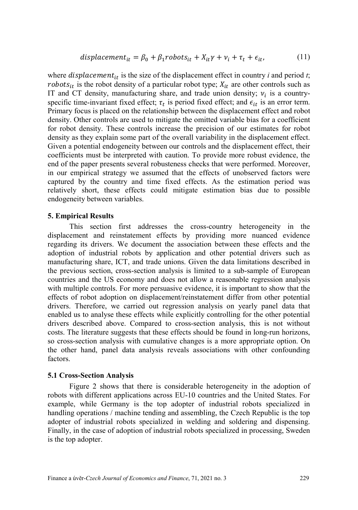where  $displacement_{it}$  is the size of the displacement effect in country *i* and period *t*; *robots<sub>it</sub>* is the robot density of a particular robot type;  $X_{it}$  are other controls such as IT and CT density, manufacturing share, and trade union density;  $v_i$  is a countryspecific time-invariant fixed effect;  $\tau_t$  is period fixed effect; and  $\epsilon_{it}$  is an error term. Primary focus is placed on the relationship between the displacement effect and robot density. Other controls are used to mitigate the omitted variable bias for a coefficient for robot density. These controls increase the precision of our estimates for robot density as they explain some part of the overall variability in the displacement effect. Given a potential endogeneity between our controls and the displacement effect, their coefficients must be interpreted with caution. To provide more robust evidence, the end of the paper presents several robusteness checks that were performed. Moreover, in our empirical strategy we assumed that the effects of unobserved factors were captured by the country and time fixed effects. As the estimation period was relatively short, these effects could mitigate estimation bias due to possible endogeneity between variables.

# **5. Empirical Results**

This section first addresses the cross-country heterogeneity in the displacement and reinstatement effects by providing more nuanced evidence regarding its drivers. We document the association between these effects and the adoption of industrial robots by application and other potential drivers such as manufacturing share, ICT, and trade unions. Given the data limitations described in the previous section, cross-section analysis is limited to a sub-sample of European countries and the US economy and does not allow a reasonable regression analysis with multiple controls. For more persuasive evidence, it is important to show that the effects of robot adoption on displacement/reinstatement differ from other potential drivers. Therefore, we carried out regression analysis on yearly panel data that enabled us to analyse these effects while explicitly controlling for the other potential drivers described above. Compared to cross-section analysis, this is not without costs. The literature suggests that these effects should be found in long-run horizons, so cross-section analysis with cumulative changes is a more appropriate option. On the other hand, panel data analysis reveals associations with other confounding factors.

### **5.1 Cross-Section Analysis**

Figure 2 shows that there is considerable heterogeneity in the adoption of robots with different applications across EU-10 countries and the United States. For example, while Germany is the top adopter of industrial robots specialized in handling operations / machine tending and assembling, the Czech Republic is the top adopter of industrial robots specialized in welding and soldering and dispensing. Finally, in the case of adoption of industrial robots specialized in processing, Sweden is the top adopter.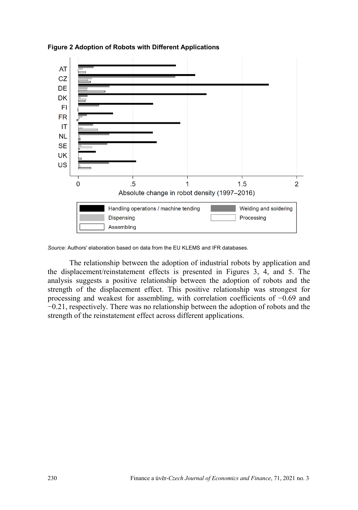

**Figure 2 Adoption of Robots with Different Applications**

*Source:* Authors' elaboration based on data from the EU KLEMS and IFR databases.

The relationship between the adoption of industrial robots by application and the displacement/reinstatement effects is presented in Figures 3, 4, and 5. The analysis suggests a positive relationship between the adoption of robots and the strength of the displacement effect. This positive relationship was strongest for processing and weakest for assembling, with correlation coefficients of −0.69 and −0.21, respectively. There was no relationship between the adoption of robots and the strength of the reinstatement effect across different applications.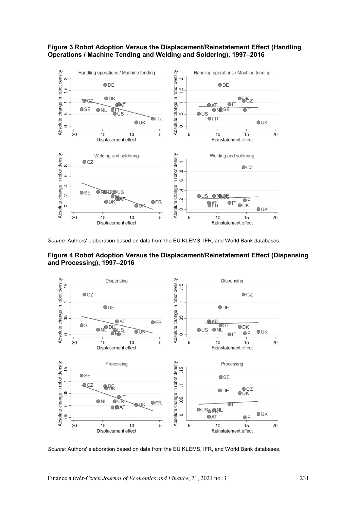#### **Figure 3 Robot Adoption Versus the Displacement/Reinstatement Effect (Handling Operations / Machine Tending and Welding and Soldering), 1997–2016**



*Source:* Authors' elaboration based on data from the EU KLEMS, IFR, and World Bank databases.





*Source:* Authors' elaboration based on data from the EU KLEMS, IFR, and World Bank databases.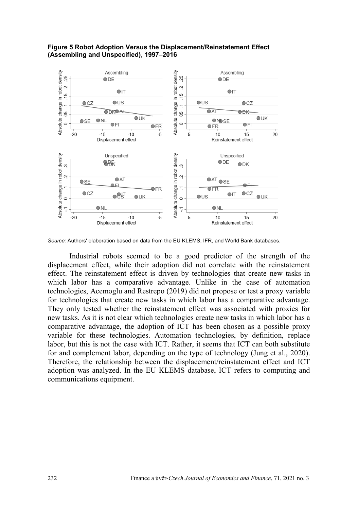#### **Figure 5 Robot Adoption Versus the Displacement/Reinstatement Effect (Assembling and Unspecified), 1997–2016**



*Source:* Authors' elaboration based on data from the EU KLEMS, IFR, and World Bank databases.

Industrial robots seemed to be a good predictor of the strength of the displacement effect, while their adoption did not correlate with the reinstatement effect. The reinstatement effect is driven by technologies that create new tasks in which labor has a comparative advantage. Unlike in the case of automation technologies, Acemoglu and Restrepo (2019) did not propose or test a proxy variable for technologies that create new tasks in which labor has a comparative advantage. They only tested whether the reinstatement effect was associated with proxies for new tasks. As it is not clear which technologies create new tasks in which labor has a comparative advantage, the adoption of ICT has been chosen as a possible proxy variable for these technologies. Automation technologies, by definition, replace labor, but this is not the case with ICT. Rather, it seems that ICT can both substitute for and complement labor, depending on the type of technology (Jung et al., 2020). Therefore, the relationship between the displacement/reinstatement effect and ICT adoption was analyzed. In the EU KLEMS database, ICT refers to computing and communications equipment.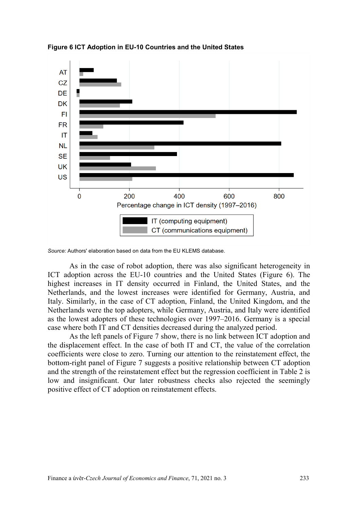

**Figure 6 ICT Adoption in EU-10 Countries and the United States**

As in the case of robot adoption, there was also significant heterogeneity in ICT adoption across the EU-10 countries and the United States (Figure 6). The highest increases in IT density occurred in Finland, the United States, and the Netherlands, and the lowest increases were identified for Germany, Austria, and Italy. Similarly, in the case of CT adoption, Finland, the United Kingdom, and the Netherlands were the top adopters, while Germany, Austria, and Italy were identified as the lowest adopters of these technologies over 1997–2016. Germany is a special case where both IT and CT densities decreased during the analyzed period.

As the left panels of Figure 7 show, there is no link between ICT adoption and the displacement effect. In the case of both IT and CT, the value of the correlation coefficients were close to zero. Turning our attention to the reinstatement effect, the bottom-right panel of Figure 7 suggests a positive relationship between CT adoption and the strength of the reinstatement effect but the regression coefficient in Table 2 is low and insignificant. Our later robustness checks also rejected the seemingly positive effect of CT adoption on reinstatement effects.

*Source:* Authors' elaboration based on data from the EU KLEMS database.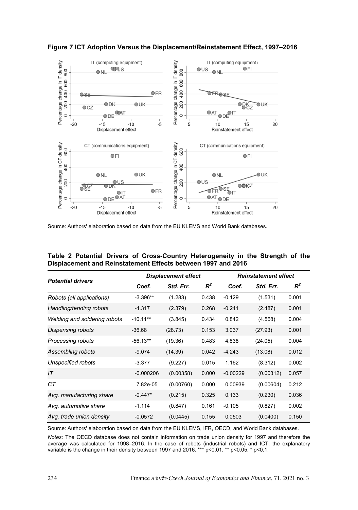

**Figure 7 ICT Adoption Versus the Displacement/Reinstatement Effect, 1997–2016**

Source: Authors' elaboration based on data from the EU KLEMS and World Bank databases.

|  |  | Table 2 Potential Drivers of Cross-Country Heterogeneity in the Strength of the |  |  |  |
|--|--|---------------------------------------------------------------------------------|--|--|--|
|  |  | Displacement and Reinstatement Effects between 1997 and 2016                    |  |  |  |

|                              |             | <b>Displacement effect</b> |       | <b>Reinstatement effect</b> |           |       |  |
|------------------------------|-------------|----------------------------|-------|-----------------------------|-----------|-------|--|
| <b>Potential drivers</b>     | Coef.       | Std. Err.                  | $R^2$ | Coef.                       | Std. Err. | $R^2$ |  |
| Robots (all applications)    | $-3.396**$  | (1.283)                    | 0.438 | $-0.129$                    | (1.531)   | 0.001 |  |
| Handling/tending robots      | $-4.317$    | (2.379)                    | 0.268 | $-0.241$                    | (2.487)   | 0.001 |  |
| Welding and soldering robots | $-10.11**$  | (3.845)                    | 0.434 | 0.842                       | (4.568)   | 0.004 |  |
| Dispensing robots            | $-36.68$    | (28.73)                    | 0.153 | 3.037                       | (27.93)   | 0.001 |  |
| Processing robots            | $-56.13**$  | (19.36)                    | 0.483 | 4.838                       | (24.05)   | 0.004 |  |
| Assembling robots            | $-9.074$    | (14.39)                    | 0.042 | $-4.243$                    | (13.08)   | 0.012 |  |
| Unspecified robots           | $-3.377$    | (9.227)                    | 0.015 | 1.162                       | (8.312)   | 0.002 |  |
| IT                           | $-0.000206$ | (0.00358)                  | 0.000 | $-0.00229$                  | (0.00312) | 0.057 |  |
| CТ                           | 7.82e-05    | (0.00760)                  | 0.000 | 0.00939                     | (0.00604) | 0.212 |  |
| Avg. manufacturing share     | $-0.447*$   | (0.215)                    | 0.325 | 0.133                       | (0.230)   | 0.036 |  |
| Avg. automotive share        | $-1.114$    | (0.847)                    | 0.161 | $-0.105$                    | (0.827)   | 0.002 |  |
| Avg. trade union density     | $-0.0572$   | (0.0445)                   | 0.155 | 0.0503                      | (0.0400)  | 0.150 |  |

Source: Authors' elaboration based on data from the EU KLEMS, IFR, OECD, and World Bank databases.

*Notes:* The OECD database does not contain information on trade union density for 1997 and therefore the average was calculated for 1998–2016. In the case of robots (industrial robots) and ICT, the explanatory variable is the change in their density between 1997 and 2016. \*\*\* p<0.01, \*\* p<0.05, \* p<0.1.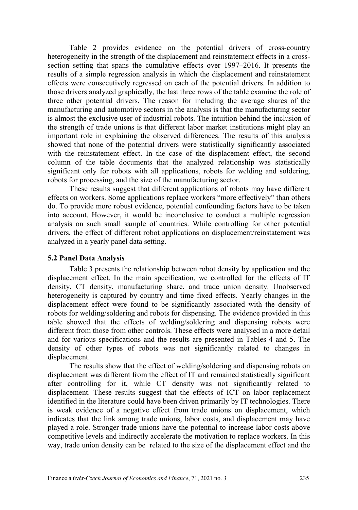Table 2 provides evidence on the potential drivers of cross-country heterogeneity in the strength of the displacement and reinstatement effects in a crosssection setting that spans the cumulative effects over 1997–2016. It presents the results of a simple regression analysis in which the displacement and reinstatement effects were consecutively regressed on each of the potential drivers. In addition to those drivers analyzed graphically, the last three rows of the table examine the role of three other potential drivers. The reason for including the average shares of the manufacturing and automotive sectors in the analysis is that the manufacturing sector is almost the exclusive user of industrial robots. The intuition behind the inclusion of the strength of trade unions is that different labor market institutions might play an important role in explaining the observed differences. The results of this analysis showed that none of the potential drivers were statistically significantly associated with the reinstatement effect. In the case of the displacement effect, the second column of the table documents that the analyzed relationship was statistically significant only for robots with all applications, robots for welding and soldering, robots for processing, and the size of the manufacturing sector.

These results suggest that different applications of robots may have different effects on workers. Some applications replace workers "more effectively" than others do. To provide more robust evidence, potential confounding factors have to be taken into account. However, it would be inconclusive to conduct a multiple regression analysis on such small sample of countries. While controlling for other potential drivers, the effect of different robot applications on displacement/reinstatement was analyzed in a yearly panel data setting.

# **5.2 Panel Data Analysis**

Table 3 presents the relationship between robot density by application and the displacement effect. In the main specification, we controlled for the effects of IT density, CT density, manufacturing share, and trade union density. Unobserved heterogeneity is captured by country and time fixed effects. Yearly changes in the displacement effect were found to be significantly associated with the density of robots for welding/soldering and robots for dispensing. The evidence provided in this table showed that the effects of welding/soldering and dispensing robots were different from those from other controls. These effects were analysed in a more detail and for various specifications and the results are presented in Tables 4 and 5. The density of other types of robots was not significantly related to changes in displacement.

The results show that the effect of welding/soldering and dispensing robots on displacement was different from the effect of IT and remained statistically significant after controlling for it, while CT density was not significantly related to displacement. These results suggest that the effects of ICT on labor replacement identified in the literature could have been driven primarily by IT technologies. There is weak evidence of a negative effect from trade unions on displacement, which indicates that the link among trade unions, labor costs, and displacement may have played a role. Stronger trade unions have the potential to increase labor costs above competitive levels and indirectly accelerate the motivation to replace workers. In this way, trade union density can be related to the size of the displacement effect and the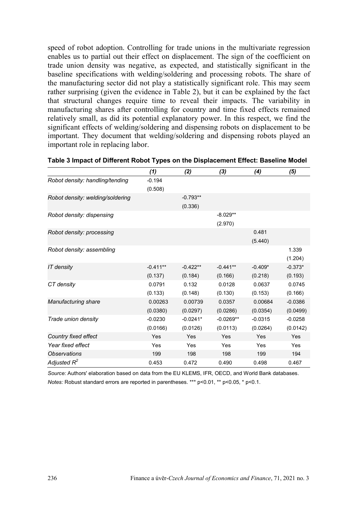speed of robot adoption. Controlling for trade unions in the multivariate regression enables us to partial out their effect on displacement. The sign of the coefficient on trade union density was negative, as expected, and statistically significant in the baseline specifications with welding/soldering and processing robots. The share of the manufacturing sector did not play a statistically significant role. This may seem rather surprising (given the evidence in Table 2), but it can be explained by the fact that structural changes require time to reveal their impacts. The variability in manufacturing shares after controlling for country and time fixed effects remained relatively small, as did its potential explanatory power. In this respect, we find the significant effects of welding/soldering and dispensing robots on displacement to be important. They document that welding/soldering and dispensing robots played an important role in replacing labor.

|                                  | (1)        | (2)        | (3)         | (4)       | (5)       |
|----------------------------------|------------|------------|-------------|-----------|-----------|
| Robot density: handling/tending  | $-0.194$   |            |             |           |           |
|                                  | (0.508)    |            |             |           |           |
| Robot density: welding/soldering |            | $-0.793**$ |             |           |           |
|                                  |            | (0.336)    |             |           |           |
| Robot density: dispensing        |            |            | $-8.029**$  |           |           |
|                                  |            |            | (2.970)     |           |           |
| Robot density: processing        |            |            |             | 0.481     |           |
|                                  |            |            |             | (5.440)   |           |
| Robot density: assembling        |            |            |             |           | 1.339     |
|                                  |            |            |             |           | (1.204)   |
| IT density                       | $-0.411**$ | $-0.422**$ | $-0.441**$  | $-0.409*$ | $-0.373*$ |
|                                  | (0.137)    | (0.184)    | (0.166)     | (0.218)   | (0.193)   |
| CT density                       | 0.0791     | 0.132      | 0.0128      | 0.0637    | 0.0745    |
|                                  | (0.133)    | (0.148)    | (0.130)     | (0.153)   | (0.166)   |
| Manufacturing share              | 0.00263    | 0.00739    | 0.0357      | 0.00684   | $-0.0386$ |
|                                  | (0.0380)   | (0.0297)   | (0.0286)    | (0.0354)  | (0.0499)  |
| Trade union density              | $-0.0230$  | $-0.0241*$ | $-0.0269**$ | $-0.0315$ | $-0.0258$ |
|                                  | (0.0166)   | (0.0126)   | (0.0113)    | (0.0264)  | (0.0142)  |
| Country fixed effect             | Yes        | Yes        | Yes         | Yes       | Yes       |
| Year fixed effect                | Yes        | Yes        | Yes         | Yes       | Yes       |
| <b>Observations</b>              | 199        | 198        | 198         | 199       | 194       |
| Adjusted $R^2$                   | 0.453      | 0.472      | 0.490       | 0.498     | 0.467     |

*Source:* Authors' elaboration based on data from the EU KLEMS, IFR, OECD, and World Bank databases. *Notes:* Robust standard errors are reported in parentheses. \*\*\* p<0.01, \*\* p<0.05, \* p<0.1.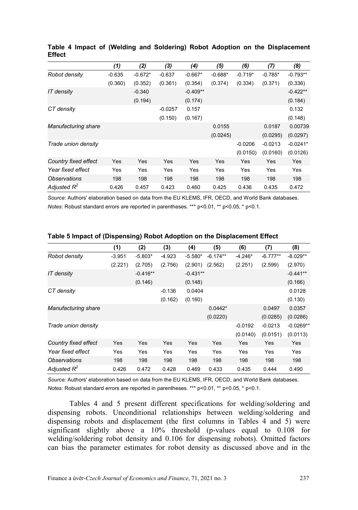|                      | (1)      | (2)       | (3)       | (4)        | (5)       | (6)       | (7)       | (8)        |
|----------------------|----------|-----------|-----------|------------|-----------|-----------|-----------|------------|
| Robot density        | $-0.635$ | $-0.672*$ | $-0.637$  | $-0.667*$  | $-0.688*$ | $-0.719*$ | $-0.785*$ | $-0.793**$ |
|                      | (0.360)  | (0.352)   | (0.361)   | (0.354)    | (0.374)   | (0.334)   | (0.371)   | (0.336)    |
| IT density           |          | $-0.340$  |           | $-0.409**$ |           |           |           | $-0.422**$ |
|                      |          | (0.194)   |           | (0.174)    |           |           |           | (0.184)    |
| CT density           |          |           | $-0.0257$ | 0.157      |           |           |           | 0.132      |
|                      |          |           | (0.150)   | (0.167)    |           |           |           | (0.148)    |
| Manufacturing share  |          |           |           |            | 0.0155    |           | 0.0187    | 0.00739    |
|                      |          |           |           |            | (0.0245)  |           | (0.0295)  | (0.0297)   |
| Trade union density  |          |           |           |            |           | $-0.0206$ | $-0.0213$ | $-0.0241*$ |
|                      |          |           |           |            |           | (0.0150)  | (0.0160)  | (0.0126)   |
| Country fixed effect | Yes      | Yes       | Yes       | Yes        | Yes       | Yes       | Yes       | Yes        |
| Year fixed effect    | Yes      | Yes       | Yes       | Yes        | Yes       | Yes       | Yes       | Yes        |
| Observations         | 198      | 198       | 198       | 198        | 198       | 198       | 198       | 198        |
| Adjusted $R^2$       | 0.426    | 0.457     | 0.423     | 0.460      | 0.425     | 0.436     | 0.435     | 0.472      |

**Table 4 Impact of (Welding and Soldering) Robot Adoption on the Displacement Effect**

*Source:* Authors' elaboration based on data from the EU KLEMS, IFR, OECD, and World Bank databases. *Notes:* Robust standard errors are reported in parentheses. \*\*\* p<0.01, \*\* p<0.05, \* p<0.1.

|                      | (1)      | (2)        | (3)      | (4)        | (5)        | (6)       | (7)        | (8)         |
|----------------------|----------|------------|----------|------------|------------|-----------|------------|-------------|
| Robot density        | $-3.951$ | $-5.803*$  | $-4.923$ | $-5.580*$  | $-6.174**$ | $-4.246*$ | $-6.777**$ | $-8.029**$  |
|                      | (2.221)  | (2.705)    | (2.756)  | (2.901)    | (2.562)    | (2.251)   | (2.599)    | (2.970)     |
| IT density           |          | $-0.416**$ |          | $-0.431**$ |            |           |            | $-0.441**$  |
|                      |          | (0.146)    |          | (0.148)    |            |           |            | (0.166)     |
| CT density           |          |            | $-0.136$ | 0.0404     |            |           |            | 0.0128      |
|                      |          |            | (0.162)  | (0.160)    |            |           |            | (0.130)     |
| Manufacturing share  |          |            |          |            | $0.0442*$  |           | 0.0497     | 0.0357      |
|                      |          |            |          |            | (0.0220)   |           | (0.0285)   | (0.0286)    |
| Trade union density  |          |            |          |            |            | $-0.0192$ | $-0.0213$  | $-0.0269**$ |
|                      |          |            |          |            |            | (0.0140)  | (0.0151)   | (0.0113)    |
| Country fixed effect | Yes      | Yes        | Yes      | Yes        | Yes        | Yes       | Yes        | Yes         |
| Year fixed effect    | Yes      | Yes        | Yes      | Yes        | Yes        | Yes       | Yes        | Yes         |
| Observations         | 198      | 198        | 198      | 198        | 198        | 198       | 198        | 198         |
| Adjusted $R^2$       | 0.426    | 0.472      | 0.428    | 0.469      | 0.433      | 0.435     | 0.444      | 0.490       |

**Table 5 Impact of (Dispensing) Robot Adoption on the Displacement Effect**

*Source:* Authors' elaboration based on data from the EU KLEMS, IFR, OECD, and World Bank databases. *Notes:* Robust standard errors are reported in parentheses. \*\*\* p<0.01, \*\* p<0.05, \* p<0.1.

Tables 4 and 5 present different specifications for welding/soldering and dispensing robots. Unconditional relationships between welding/soldering and dispensing robots and displacement (the first columns in Tables 4 and 5) were significant slightly above a 10% threshold (p-values equal to 0.108 for welding/soldering robot density and 0.106 for dispensing robots). Omitted factors can bias the parameter estimates for robot density as discussed above and in the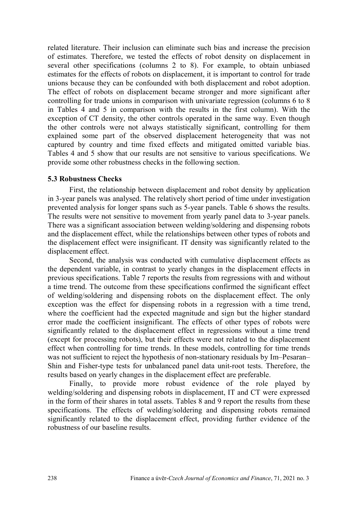related literature. Their inclusion can eliminate such bias and increase the precision of estimates. Therefore, we tested the effects of robot density on displacement in several other specifications (columns 2 to 8). For example, to obtain unbiased estimates for the effects of robots on displacement, it is important to control for trade unions because they can be confounded with both displacement and robot adoption. The effect of robots on displacement became stronger and more significant after controlling for trade unions in comparison with univariate regression (columns 6 to 8 in Tables 4 and 5 in comparison with the results in the first column). With the exception of CT density, the other controls operated in the same way. Even though the other controls were not always statistically significant, controlling for them explained some part of the observed displacement heterogeneity that was not captured by country and time fixed effects and mitigated omitted variable bias. Tables 4 and 5 show that our results are not sensitive to various specifications. We provide some other robustness checks in the following section.

#### **5.3 Robustness Checks**

First, the relationship between displacement and robot density by application in 3-year panels was analysed. The relatively short period of time under investigation prevented analysis for longer spans such as 5-year panels. Table 6 shows the results. The results were not sensitive to movement from yearly panel data to 3-year panels. There was a significant association between welding/soldering and dispensing robots and the displacement effect, while the relationships between other types of robots and the displacement effect were insignificant. IT density was significantly related to the displacement effect.

Second, the analysis was conducted with cumulative displacement effects as the dependent variable, in contrast to yearly changes in the displacement effects in previous specifications. Table 7 reports the results from regressions with and without a time trend. The outcome from these specifications confirmed the significant effect of welding/soldering and dispensing robots on the displacement effect. The only exception was the effect for dispensing robots in a regression with a time trend, where the coefficient had the expected magnitude and sign but the higher standard error made the coefficient insignificant. The effects of other types of robots were significantly related to the displacement effect in regressions without a time trend (except for processing robots), but their effects were not related to the displacement effect when controlling for time trends. In these models, controlling for time trends was not sufficient to reject the hypothesis of non-stationary residuals by Im–Pesaran– Shin and Fisher-type tests for unbalanced panel data unit-root tests. Therefore, the results based on yearly changes in the displacement effect are preferable.

Finally, to provide more robust evidence of the role played by welding/soldering and dispensing robots in displacement, IT and CT were expressed in the form of their shares in total assets. Tables 8 and 9 report the results from these specifications. The effects of welding/soldering and dispensing robots remained significantly related to the displacement effect, providing further evidence of the robustness of our baseline results.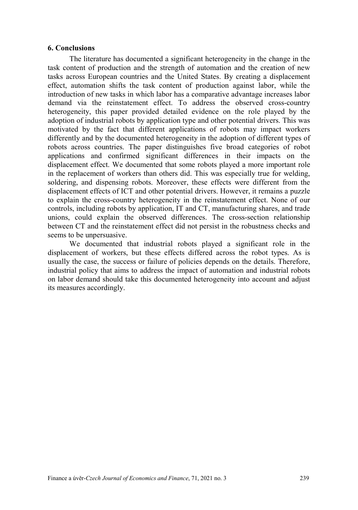### **6. Conclusions**

The literature has documented a significant heterogeneity in the change in the task content of production and the strength of automation and the creation of new tasks across European countries and the United States. By creating a displacement effect, automation shifts the task content of production against labor, while the introduction of new tasks in which labor has a comparative advantage increases labor demand via the reinstatement effect. To address the observed cross-country heterogeneity, this paper provided detailed evidence on the role played by the adoption of industrial robots by application type and other potential drivers. This was motivated by the fact that different applications of robots may impact workers differently and by the documented heterogeneity in the adoption of different types of robots across countries. The paper distinguishes five broad categories of robot applications and confirmed significant differences in their impacts on the displacement effect. We documented that some robots played a more important role in the replacement of workers than others did. This was especially true for welding, soldering, and dispensing robots. Moreover, these effects were different from the displacement effects of ICT and other potential drivers. However, it remains a puzzle to explain the cross-country heterogeneity in the reinstatement effect. None of our controls, including robots by application, IT and CT, manufacturing shares, and trade unions, could explain the observed differences. The cross-section relationship between CT and the reinstatement effect did not persist in the robustness checks and seems to be unpersuasive.

We documented that industrial robots played a significant role in the displacement of workers, but these effects differed across the robot types. As is usually the case, the success or failure of policies depends on the details. Therefore, industrial policy that aims to address the impact of automation and industrial robots on labor demand should take this documented heterogeneity into account and adjust its measures accordingly.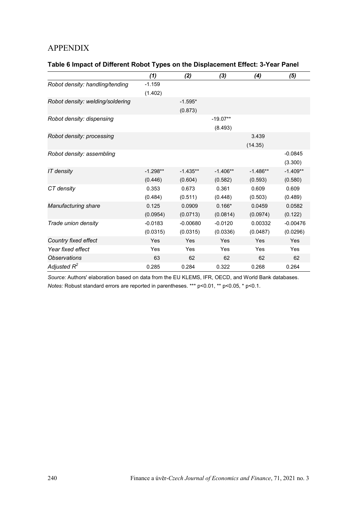# APPENDIX

| Table 6 Impact of Different Robot Types on the Displacement Effect: 3-Year Panel |  |  |
|----------------------------------------------------------------------------------|--|--|
|----------------------------------------------------------------------------------|--|--|

|                                  | (1)        | (2)        | (3)        | (4)        | (5)        |
|----------------------------------|------------|------------|------------|------------|------------|
| Robot density: handling/tending  | $-1.159$   |            |            |            |            |
|                                  | (1.402)    |            |            |            |            |
| Robot density: welding/soldering |            | $-1.595*$  |            |            |            |
|                                  |            | (0.873)    |            |            |            |
| Robot density: dispensing        |            |            | $-19.07**$ |            |            |
|                                  |            |            | (8.493)    |            |            |
| Robot density: processing        |            |            |            | 3.439      |            |
|                                  |            |            |            | (14.35)    |            |
| Robot density: assembling        |            |            |            |            | $-0.0845$  |
|                                  |            |            |            |            | (3.300)    |
| IT density                       | $-1.298**$ | $-1.435**$ | $-1.406**$ | $-1.486**$ | $-1.409**$ |
|                                  | (0.446)    | (0.604)    | (0.582)    | (0.593)    | (0.580)    |
| CT density                       | 0.353      | 0.673      | 0.361      | 0.609      | 0.609      |
|                                  | (0.484)    | (0.511)    | (0.448)    | (0.503)    | (0.489)    |
| Manufacturing share              | 0.125      | 0.0909     | $0.166*$   | 0.0459     | 0.0582     |
|                                  | (0.0954)   | (0.0713)   | (0.0814)   | (0.0974)   | (0.122)    |
| Trade union density              | $-0.0183$  | $-0.00680$ | $-0.0120$  | 0.00332    | $-0.00476$ |
|                                  | (0.0315)   | (0.0315)   | (0.0336)   | (0.0487)   | (0.0296)   |
| Country fixed effect             | Yes        | Yes        | Yes        | Yes        | Yes        |
| Year fixed effect                | Yes        | Yes        | Yes        | Yes        | Yes        |
| <b>Observations</b>              | 63         | 62         | 62         | 62         | 62         |
| Adjusted $R^2$                   | 0.285      | 0.284      | 0.322      | 0.268      | 0.264      |

*Source:* Authors' elaboration based on data from the EU KLEMS, IFR, OECD, and World Bank databases. *Notes:* Robust standard errors are reported in parentheses. \*\*\* p<0.01, \*\* p<0.05, \* p<0.1.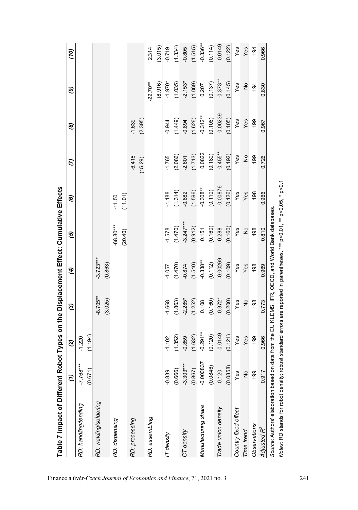| $0.373***$<br>(8.916)<br>(0.145)<br>$-1.970*$<br>(1.035)<br>(1.069)<br>(0.137)<br>22.70**<br>$-2.153*$<br>0.207<br>Yes<br>$\frac{1}{2}$<br>0.830<br>194<br>0.00239<br>$-0.312***$<br>(0.106)<br>(1.626)<br>(0.105)<br>(4.449)<br>(2.395)<br>Yes<br>Yes<br>$-1.639$<br>$-0.894$<br>199<br>$-0.944$<br>0.967<br>$(0.180)$<br>0.455**<br>0.0822<br>(1.713)<br>(0.192)<br>(2.086)<br>$-6.418$<br>Yes<br>$\frac{1}{2}$<br>$-1.765$<br>0.726<br>199<br>$-2.601$<br>(15.29)<br>$-0.00876$<br>$-0.308***$<br>(1.596)<br>(0.110)<br>(0.126)<br>(1.314)<br>Yes<br>Yes<br>0.966<br>$-0.882$<br>198<br>$-1.188$<br>(11.01)<br>$-11.50$<br>$-3.247***$<br>$-68.80***$<br>(1.470)<br>(0.912)<br>(0.160)<br>(0.160)<br>0.810<br>0.288<br>Yes<br>$\frac{1}{2}$<br>198<br>$-1.578$<br>0.151<br>(20.40)<br>$-3.723***$<br>$-0.00269$<br>$-0.338***$<br>(1.510)<br>(0.112)<br>(0.109)<br>(0.863)<br>(1.470)<br>Yes<br>Yes<br>0.969<br>198<br>$-0.874$<br>$-1.057$<br>$-8.705**$<br>(3.025)<br>(0.200)<br>(1.863)<br>(1.252)<br>(0.160)<br>$0.372*$<br>$-2.285*$<br>Yes<br>$\frac{1}{2}$<br>198<br>0.773<br>0.108<br>$-1.668$<br>$-0.291***$<br>$-0.0149$<br>(1.632)<br>(0.120)<br>(0.121)<br>(1.194)<br>(1.352)<br>Yes<br>Yes<br>199<br>0.966<br>$-0.859$<br>$-1.102$<br>$-1.220$<br>$-0.000837$<br>$-7.768***$<br>$-3.303***$<br>(0.0846)<br>(0.0858)<br>(0.867)<br>(0.671)<br>(0.666)<br>0.120<br>0.917<br>$-0.839$<br>Yes<br>$\frac{1}{2}$<br>199<br>RD: welding/soldering<br>RD: handling/tending<br>Manufacturing share<br>Trade union density<br>Country fixed effect<br>RD: assembling<br>RD: processing<br>RD: dispensing<br>Observations<br>Adjusted R <sup>2</sup><br>Time trend<br>CT density<br>IT density |                                                                                                              | $\widehat{z}$ | $\mathbf{S}$ | ව | E | ত | ම | G | ම | ම | (10)        |
|-----------------------------------------------------------------------------------------------------------------------------------------------------------------------------------------------------------------------------------------------------------------------------------------------------------------------------------------------------------------------------------------------------------------------------------------------------------------------------------------------------------------------------------------------------------------------------------------------------------------------------------------------------------------------------------------------------------------------------------------------------------------------------------------------------------------------------------------------------------------------------------------------------------------------------------------------------------------------------------------------------------------------------------------------------------------------------------------------------------------------------------------------------------------------------------------------------------------------------------------------------------------------------------------------------------------------------------------------------------------------------------------------------------------------------------------------------------------------------------------------------------------------------------------------------------------------------------------------------------------------------------------------------------------------------------------------------|--------------------------------------------------------------------------------------------------------------|---------------|--------------|---|---|---|---|---|---|---|-------------|
|                                                                                                                                                                                                                                                                                                                                                                                                                                                                                                                                                                                                                                                                                                                                                                                                                                                                                                                                                                                                                                                                                                                                                                                                                                                                                                                                                                                                                                                                                                                                                                                                                                                                                                     |                                                                                                              |               |              |   |   |   |   |   |   |   |             |
|                                                                                                                                                                                                                                                                                                                                                                                                                                                                                                                                                                                                                                                                                                                                                                                                                                                                                                                                                                                                                                                                                                                                                                                                                                                                                                                                                                                                                                                                                                                                                                                                                                                                                                     |                                                                                                              |               |              |   |   |   |   |   |   |   |             |
|                                                                                                                                                                                                                                                                                                                                                                                                                                                                                                                                                                                                                                                                                                                                                                                                                                                                                                                                                                                                                                                                                                                                                                                                                                                                                                                                                                                                                                                                                                                                                                                                                                                                                                     |                                                                                                              |               |              |   |   |   |   |   |   |   |             |
|                                                                                                                                                                                                                                                                                                                                                                                                                                                                                                                                                                                                                                                                                                                                                                                                                                                                                                                                                                                                                                                                                                                                                                                                                                                                                                                                                                                                                                                                                                                                                                                                                                                                                                     |                                                                                                              |               |              |   |   |   |   |   |   |   |             |
|                                                                                                                                                                                                                                                                                                                                                                                                                                                                                                                                                                                                                                                                                                                                                                                                                                                                                                                                                                                                                                                                                                                                                                                                                                                                                                                                                                                                                                                                                                                                                                                                                                                                                                     |                                                                                                              |               |              |   |   |   |   |   |   |   |             |
|                                                                                                                                                                                                                                                                                                                                                                                                                                                                                                                                                                                                                                                                                                                                                                                                                                                                                                                                                                                                                                                                                                                                                                                                                                                                                                                                                                                                                                                                                                                                                                                                                                                                                                     |                                                                                                              |               |              |   |   |   |   |   |   |   |             |
|                                                                                                                                                                                                                                                                                                                                                                                                                                                                                                                                                                                                                                                                                                                                                                                                                                                                                                                                                                                                                                                                                                                                                                                                                                                                                                                                                                                                                                                                                                                                                                                                                                                                                                     |                                                                                                              |               |              |   |   |   |   |   |   |   |             |
|                                                                                                                                                                                                                                                                                                                                                                                                                                                                                                                                                                                                                                                                                                                                                                                                                                                                                                                                                                                                                                                                                                                                                                                                                                                                                                                                                                                                                                                                                                                                                                                                                                                                                                     |                                                                                                              |               |              |   |   |   |   |   |   |   | 2.314       |
|                                                                                                                                                                                                                                                                                                                                                                                                                                                                                                                                                                                                                                                                                                                                                                                                                                                                                                                                                                                                                                                                                                                                                                                                                                                                                                                                                                                                                                                                                                                                                                                                                                                                                                     |                                                                                                              |               |              |   |   |   |   |   |   |   | (3.015)     |
|                                                                                                                                                                                                                                                                                                                                                                                                                                                                                                                                                                                                                                                                                                                                                                                                                                                                                                                                                                                                                                                                                                                                                                                                                                                                                                                                                                                                                                                                                                                                                                                                                                                                                                     |                                                                                                              |               |              |   |   |   |   |   |   |   | $-0.719$    |
|                                                                                                                                                                                                                                                                                                                                                                                                                                                                                                                                                                                                                                                                                                                                                                                                                                                                                                                                                                                                                                                                                                                                                                                                                                                                                                                                                                                                                                                                                                                                                                                                                                                                                                     |                                                                                                              |               |              |   |   |   |   |   |   |   | (1.334)     |
|                                                                                                                                                                                                                                                                                                                                                                                                                                                                                                                                                                                                                                                                                                                                                                                                                                                                                                                                                                                                                                                                                                                                                                                                                                                                                                                                                                                                                                                                                                                                                                                                                                                                                                     |                                                                                                              |               |              |   |   |   |   |   |   |   | $-0.805$    |
|                                                                                                                                                                                                                                                                                                                                                                                                                                                                                                                                                                                                                                                                                                                                                                                                                                                                                                                                                                                                                                                                                                                                                                                                                                                                                                                                                                                                                                                                                                                                                                                                                                                                                                     |                                                                                                              |               |              |   |   |   |   |   |   |   | (1.515)     |
|                                                                                                                                                                                                                                                                                                                                                                                                                                                                                                                                                                                                                                                                                                                                                                                                                                                                                                                                                                                                                                                                                                                                                                                                                                                                                                                                                                                                                                                                                                                                                                                                                                                                                                     |                                                                                                              |               |              |   |   |   |   |   |   |   | $-0.336***$ |
|                                                                                                                                                                                                                                                                                                                                                                                                                                                                                                                                                                                                                                                                                                                                                                                                                                                                                                                                                                                                                                                                                                                                                                                                                                                                                                                                                                                                                                                                                                                                                                                                                                                                                                     |                                                                                                              |               |              |   |   |   |   |   |   |   | (0.114)     |
|                                                                                                                                                                                                                                                                                                                                                                                                                                                                                                                                                                                                                                                                                                                                                                                                                                                                                                                                                                                                                                                                                                                                                                                                                                                                                                                                                                                                                                                                                                                                                                                                                                                                                                     |                                                                                                              |               |              |   |   |   |   |   |   |   | 0.0149      |
|                                                                                                                                                                                                                                                                                                                                                                                                                                                                                                                                                                                                                                                                                                                                                                                                                                                                                                                                                                                                                                                                                                                                                                                                                                                                                                                                                                                                                                                                                                                                                                                                                                                                                                     |                                                                                                              |               |              |   |   |   |   |   |   |   | (0.122)     |
|                                                                                                                                                                                                                                                                                                                                                                                                                                                                                                                                                                                                                                                                                                                                                                                                                                                                                                                                                                                                                                                                                                                                                                                                                                                                                                                                                                                                                                                                                                                                                                                                                                                                                                     |                                                                                                              |               |              |   |   |   |   |   |   |   | Yes         |
|                                                                                                                                                                                                                                                                                                                                                                                                                                                                                                                                                                                                                                                                                                                                                                                                                                                                                                                                                                                                                                                                                                                                                                                                                                                                                                                                                                                                                                                                                                                                                                                                                                                                                                     |                                                                                                              |               |              |   |   |   |   |   |   |   | Yes         |
|                                                                                                                                                                                                                                                                                                                                                                                                                                                                                                                                                                                                                                                                                                                                                                                                                                                                                                                                                                                                                                                                                                                                                                                                                                                                                                                                                                                                                                                                                                                                                                                                                                                                                                     |                                                                                                              |               |              |   |   |   |   |   |   |   | 194         |
|                                                                                                                                                                                                                                                                                                                                                                                                                                                                                                                                                                                                                                                                                                                                                                                                                                                                                                                                                                                                                                                                                                                                                                                                                                                                                                                                                                                                                                                                                                                                                                                                                                                                                                     |                                                                                                              |               |              |   |   |   |   |   |   |   | 0.966       |
|                                                                                                                                                                                                                                                                                                                                                                                                                                                                                                                                                                                                                                                                                                                                                                                                                                                                                                                                                                                                                                                                                                                                                                                                                                                                                                                                                                                                                                                                                                                                                                                                                                                                                                     | Notes: RD stands for robot density; robust standard errors are reported in parentheses. *** p<0.1, ** p<0.1, |               |              |   |   |   |   |   |   |   |             |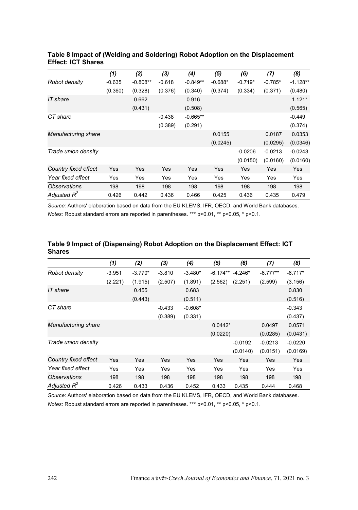|                      | (1)      | (2)        | (3)      | (4)        | (5)       | (6)       | (7)       | (8)        |
|----------------------|----------|------------|----------|------------|-----------|-----------|-----------|------------|
| Robot density        | $-0.635$ | $-0.808**$ | $-0.618$ | $-0.849**$ | $-0.688*$ | $-0.719*$ | $-0.785*$ | $-1.128**$ |
|                      | (0.360)  | (0.328)    | (0.376)  | (0.340)    | (0.374)   | (0.334)   | (0.371)   | (0.480)    |
| IT share             |          | 0.662      |          | 0.916      |           |           |           | $1.121*$   |
|                      |          | (0.431)    |          | (0.508)    |           |           |           | (0.565)    |
| CT share             |          |            | $-0.438$ | $-0.665**$ |           |           |           | $-0.449$   |
|                      |          |            | (0.389)  | (0.291)    |           |           |           | (0.374)    |
| Manufacturing share  |          |            |          |            | 0.0155    |           | 0.0187    | 0.0353     |
|                      |          |            |          |            | (0.0245)  |           | (0.0295)  | (0.0346)   |
| Trade union density  |          |            |          |            |           | $-0.0206$ | $-0.0213$ | $-0.0243$  |
|                      |          |            |          |            |           | (0.0150)  | (0.0160)  | (0.0160)   |
| Country fixed effect | Yes      | Yes        | Yes      | Yes        | Yes       | Yes       | Yes       | Yes        |
| Year fixed effect    | Yes      | Yes        | Yes      | Yes        | Yes       | Yes       | Yes       | Yes        |
| <b>Observations</b>  | 198      | 198        | 198      | 198        | 198       | 198       | 198       | 198        |
| Adjusted $R^2$       | 0.426    | 0.442      | 0.436    | 0.466      | 0.425     | 0.436     | 0.435     | 0.479      |

#### **Table 8 Impact of (Welding and Soldering) Robot Adoption on the Displacement Effect: ICT Shares**

*Source:* Authors' elaboration based on data from the EU KLEMS, IFR, OECD, and World Bank databases. *Notes:* Robust standard errors are reported in parentheses. \*\*\* p<0.01, \*\* p<0.05, \* p<0.1.

| UHAI <del>c</del> ə  |          |           |          |           |                    |           |            |           |
|----------------------|----------|-----------|----------|-----------|--------------------|-----------|------------|-----------|
|                      | (1)      | (2)       | (3)      | (4)       | (5)                | (6)       | (7)        | (8)       |
| Robot density        | $-3.951$ | $-3.770*$ | $-3.810$ | $-3.480*$ | $-6.174** -4.246*$ |           | $-6.777**$ | $-6.717*$ |
|                      | (2.221)  | (1.915)   | (2.507)  | (1.891)   | (2.562)            | (2.251)   | (2.599)    | (3.156)   |
| IT share             |          | 0.455     |          | 0.683     |                    |           |            | 0.830     |
|                      |          | (0.443)   |          | (0.511)   |                    |           |            | (0.516)   |
| CT share             |          |           | $-0.433$ | $-0.608*$ |                    |           |            | $-0.343$  |
|                      |          |           | (0.389)  | (0.331)   |                    |           |            | (0.437)   |
| Manufacturing share  |          |           |          |           | $0.0442*$          |           | 0.0497     | 0.0571    |
|                      |          |           |          |           | (0.0220)           |           | (0.0285)   | (0.0431)  |
| Trade union density  |          |           |          |           |                    | $-0.0192$ | $-0.0213$  | $-0.0220$ |
|                      |          |           |          |           |                    | (0.0140)  | (0.0151)   | (0.0169)  |
| Country fixed effect | Yes      | Yes       | Yes      | Yes       | Yes                | Yes       | Yes        | Yes       |
| Year fixed effect    | Yes      | Yes       | Yes      | Yes       | Yes                | Yes       | Yes        | Yes       |
| <b>Observations</b>  | 198      | 198       | 198      | 198       | 198                | 198       | 198        | 198       |
| Adjusted $R^2$       | 0.426    | 0.433     | 0.436    | 0.452     | 0.433              | 0.435     | 0.444      | 0.468     |

#### **Table 9 Impact of (Dispensing) Robot Adoption on the Displacement Effect: ICT Shares**

*Source*: Authors' elaboration based on data from the EU KLEMS, IFR, OECD, and World Bank databases. *Notes*: Robust standard errors are reported in parentheses. \*\*\* p<0.01, \*\* p<0.05, \* p<0.1.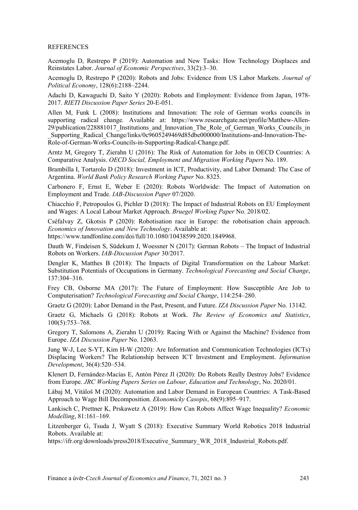#### REFERENCES

Acemoglu D, Restrepo P (2019): Automation and New Tasks: How Technology Displaces and Reinstates Labor. *Journal of Economic Perspectives*, 33(2):3–30.

Acemoglu D, Restrepo P (2020): Robots and Jobs: Evidence from US Labor Markets. *Journal of Political Economy*, 128(6):2188–2244.

Adachi D, Kawaguchi D, Saito Y (2020): Robots and Employment: Evidence from Japan, 1978- 2017. *RIETI Discussion Paper Series* 20-E-051.

Allen M, Funk L (2008): Institutions and Innovation: The role of German works councils in supporting radical change. Available at: https://www.researchgate.net/profile/Matthew-Allen-29/publication/228881017\_Institutions\_and\_Innovation\_The\_Role\_of\_German\_Works\_Councils\_in

\_Supporting\_Radical\_Change/links/0c9605249469d85dbe000000/Institutions-and-Innovation-The-Role-of-German-Works-Councils-in-Supporting-Radical-Change.pdf.

Arntz M, Gregory T, Zierahn U (2016): The Risk of Automation for Jobs in OECD Countries: A Comparative Analysis. *OECD Social, Employment and Migration Working Papers* No. 189.

Brambilla I, Tortarolo D (2018): Investment in ICT, Productivity, and Labor Demand: The Case of Argentina. *World Bank Policy Research Working Paper* No. 8325.

Carbonero F, Ernst E, Weber E (2020): Robots Worldwide: The Impact of Automation on Employment and Trade. *IAB-Discussion Paper* 07/2020.

Chiacchio F, Petropoulos G, Pichler D (2018): The Impact of Industrial Robots on EU Employment and Wages: A Local Labour Market Approach. *Bruegel Working Paper* No. 2018/02.

Cséfalvay Z, Gkotsis P (2020): Robotisation race in Europe: the robotisation chain approach. *Economics of Innovation and New Technology*. Available at: .

https://www.tandfonline.com/doi/full/10.1080/10438599.2020.1849968.

Dauth W, Findeisen S, Südekum J, Woessner N (2017): German Robots – The Impact of Industrial Robots on Workers. *IAB-Discussion Paper* 30/2017.

Dengler K, Matthes B (2018): The Impacts of Digital Transformation on the Labour Market: Substitution Potentials of Occupations in Germany. *Technological Forecasting and Social Change*, 137:304–316.

Frey CB, Osborne MA (2017): The Future of Employment: How Susceptible Are Job to Computerisation? *Technological Forecasting and Social Change*, 114:254–280.

Graetz G (2020): Labor Demand in the Past, Present, and Future. *IZA Discussion Paper* No. 13142.

Graetz G, Michaels G (2018): Robots at Work. *The Review of Economics and Statistics*, 100(5):753–768.

Gregory T, Salomons A, Zierahn U (2019): Racing With or Against the Machine? Evidence from Europe. *IZA Discussion Paper* No. 12063.

Jung W-J, Lee S-YT, Kim H-W (2020): Are Information and Communication Technologies (ICTs) Displacing Workers? The Relationship between ICT Investment and Employment. *Information Development*, 36(4):520–534.

Klenert D, Fernández-Macías E, Antón Pérez JI (2020): Do Robots Really Destroy Jobs? Evidence from Europe. *JRC Working Papers Series on Labour, Education and Technology*, No. 2020/01.

Lábaj M, Vitáloš M (2020): Automation and Labor Demand in European Countries: A Task-Based Approach to Wage Bill Decomposition. *Ekonomicky Casopis*, 68(9):895–917.

Lankisch C, Prettner K, Prskawetz A (2019): How Can Robots Affect Wage Inequality? *Economic Modelling*, 81:161–169.

Litzenberger G, Tsuda J, Wyatt S (2018): Executive Summary World Robotics 2018 Industrial Robots. Available at:

https://ifr.org/downloads/press2018/Executive\_Summary\_WR\_2018\_Industrial\_Robots.pdf.